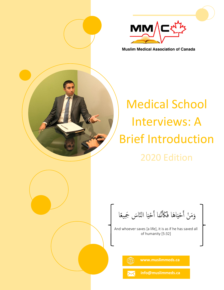

**Muslim Medical Association of Canada** 

# Medical School Interviews: A Brief Introduction 2020 Edition

وَمَنْ أَحْيَاهَا فَكَأَنَّمَا أَحْيَا النَّاسَ جَمِيعًا َّا  $\tilde{\mathbf{z}}$ أ ە<br> بر<br>ذ  $\tilde{\mathbf{z}}$ أ م<br>أ

And whoever saves [a life], it is as if he has saved all of humanity [5:32]

 **www.muslimmeds.ca**

 **info@muslimmeds.ca**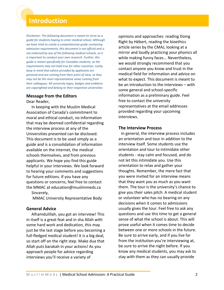# **Introduction**

*Disclaimer: The following document is meant to serve as a guide for students hoping to enter medical school. Although we have tried to create a comprehensive guide containing admission requirements, this document is not official and is not endorsed by any of the following medical schools, so it is important to conduct your own research. Further, this guide is meant specifically for Canadian students, so the requirements may not hold true for other countries. Lastly, keep in mind that advice provided by applicants are personal and are coming from their point of view, so they may not be the most representative views coming from their colleagues. All university logos, badges and emblems are copyrighted and belong to their respective universities*

# **Message from the Editors**

Dear Reader,

In keeping with the Muslim Medical Association of Canada's commitment to moral and ethical conduct, no information that may be deemed confidential regarding the interview process at any of the Universities presented can be disclosed. This document is to be used simply as a guide and is a consolidation of information available on the internet, the medical schools themselves, and from previous applicants. We hope you find this guide helpful in your interviews. We look forward to hearing your comments and suggestions for future editions. If you have any questions or concerns, feel free to contact the MMAC at education@muslimmeds.ca Sincerely,

MMAC University Representative Body

# **General Advice**

Alhamdulillah, you got an interview! This in itself is a great feat and in sha Allah with some hard work and dedication, this may just be the last stage before you becoming a full-fledged medical student! It is a big deal, so start off on the right step. Make dua that Allah puts barakah in your actions! As you approach people for advice regarding interviews you'll receive a variety of

opinions and approaches: reading Doing Right by Hébert, reading the bioethics article series by the CMAJ, looking at a mirror and loudly practicing your phonics all while making funny faces... Nevertheless, we would strongly recommend that you contact anyone you know and trust in the medical field for information and advice on what to expect. This document is meant to be an introduction to the interviews – with some general and school-specific information as a preliminary guide. Feel free to contact the university representatives at the email addresses provided regarding your upcoming interviews.

# **The Interview Process**

In general, the interview process includes an orientation and tour in addition to the interview itself. Some students use the orientation and tour to intimidate other students - stay calm and focused, and do not let this intimidate you. Use this orientation to relax and gather your thoughts. Remember, the mere fact that you were invited for an interview means that they want you as much as you want them. The tour is the university's chance to give you their sales pitch. A medical student or volunteer who has no bearing on any decisions when it comes to admissions usually gives the tour. Feel free to ask any questions and use this time to get a general sense of what the school is about. This will prove useful when it comes time to decide between one or more schools in the future. Be sure to arrive early, and if you live far from the institution you're interviewing at, be sure to arrive the night before. If you know any medical students, you may ask to stay with them as they can usually provide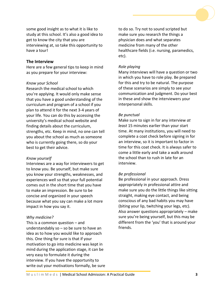

some good insight as to what it is like to study at this school. It's also a good idea to get to know the city that you are interviewing at, so take this opportunity to have a tour!

# **The Interview**

Here are a few general tips to keep in mind as you prepare for your interview:

# *Know your School*

Research the medical school to which you're applying. It would only make sense that you have a good understanding of the curriculum and program of a school if you plan to attend it for the next 3-4 years of your life. You can do this by accessing the university's medical school website and finding details about the curriculum, strengths, etc. Keep in mind, no one can tell you about the school as much as someone who is currently going there, so do your best to get their advice.

# *Know yourself*

Interviews are a way for interviewers to get to know you. Be yourself, but make sure you know your strengths, weaknesses, and experiences well so that your full potential comes out in the short time that you have to make an impression. Be sure to be concise and organized in your speech because what you say can make a lot more impact in how you say it.

# *Why medicine?*

This is a common question – and understandably so – so be sure to have an idea as to how you would like to approach this. One thing for sure is that if your motivation to go into medicine was kept in mind during the application stage, it can be very easy to formulate it during the interview. If you have the opportunity to write out your motivations formally, be sure to do so. Try not to sound scripted but make sure you research the things a physician does and what separates medicine from many of the other healthcare fields (i.e. nursing, paramedics, etc).

# *Role playing*

Many interviews will have a question or two in which you have to role play. Be prepared for this and try to be natural. The purpose of these scenarios are simply to see your communication and judgment. Do your best in these and show the interviewers your interpersonal skills.

# *Be punctual*

Make sure to sign in for any interview *at least* 15 minutes earlier than your start time. At many institutions, you will need to complete a coat check before signing in for an interview, so it is important to factor in time for this coat check. It is always safer to come a little early and take a walk around the school than to rush in late for an interview.

# *Be professional*

Be professional in your approach. Dress appropriately in professional attire and make sure you do the little things like sitting straight, making eye contact, and being conscious of any bad habits you may have (biting your lip, twitching your legs, etc). Also answer questions appropriately – make sure you're being yourself, but this may be different from the 'you' that is around your friends.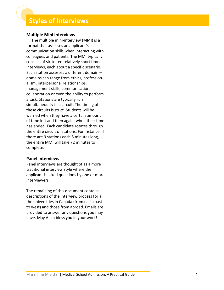# **Styles of Interviews**

# **Multiple Mini Interviews**

The multiple mini-interview (MMI) is a format that assesses an applicant's communication skills when interacting with colleagues and patients. The MMI typically consists of six to ten relatively short timed interviews, each about a specific scenario. Each station assesses a different domain – domains can range from ethics, professionalism, interpersonal relationships, management skills, communication, collaboration or even the ability to perform a task. Stations are typically run simultaneously in a circuit. The timing of these circuits is strict. Students will be warned when they have a certain amount of time left and then again, when their time has ended. Each candidate rotates through the entire circuit of stations. For instance, if there are 9 stations each 8 minutes long, the entire MMI will take 72 minutes to complete.

# **Panel Interviews**

Panel interviews are thought of as a more traditional interview style where the applicant is asked questions by one or more interviewers.

The remaining of this document contains descriptions of the interview process for all the universities in Canada (from east coast to west) and those from abroad. Emails are provided to answer any questions you may have. May Allah bless you in your work!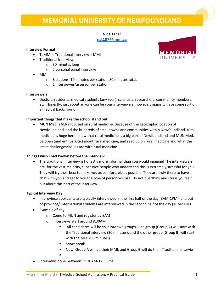# **MEMORIAL UNIVERSITY OF NEWFOUNDLAND**

# **Nida Taher [nst187@mun.ca](mailto:nst187@mun.ca)**

# **Interview Format**

- TaMMI Traditional interview + MMI
- Traditional Interview
	- o 30 minutes long
	- o 2 personal panel interview
- MMI
	- o 8 stations. 10 minutes per station. 80 minutes total.
	- o 1 interviewer/assessor per station

# **Interviewers**

• Doctors, residents, medical students (any year), scientists, researchers, community members, etc. Honestly, just about anyone can be your interviewers, however, majority have some sort of a medical background.

# **Important things that make the school stand out**

• MUN Med is VERY focused on rural medicine. Because of the geographic location of Newfoundland, and the hundreds of small towns and communities within Newfoundland, rural medicine is huge here. Know that rural medicine is a big part of Newfoundland and MUN Med, be open (and enthusiastic) about rural medicine, and read up on rural medicine and what the latest challenges/issues are with rural medicine

# **Things I wish I had known before the interview**

• The traditional interview is honestly more informal than you would imagine! The interviewers are, for the vast majority, super nice people who understand this is extremely stressful for you. They will try their best to make you as comfortable as possible. They are truly there to have a chat with you and get to you the type of person you are. Do not overthink and stress yourself out about this part of the interview.

# **Typical Interview Day**

- In province applicants are typically interviewed in the first half of the day (8AM-1PM), and outof-province/ International students are interviewed in the second half of the day (1PM-5PM)
- Example of day:
	- o Come to MUN and register by 8AM
	- o Interviews start around 8:30AM
		- All candidates will be split into two groups. One group (Group A) will start with the Traditional interview (30 minutes), and the other group (Group B) will start with the MMI (80 minutes)
		- Short break
		- Now, Group A will do their MMI, and Group B will do their Traditional intervie
		- ▪
- Interviews done between 11:30AM-12:30PM

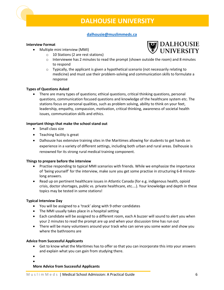

# **DALHOUSIE UNIVERSITY**

# **[dalhousie@muslimmeds.ca](mailto:dalhousie@muslimmeds.ca)**

# **Interview Format**

- Multiple mini interview (MMI)
	- o 10 Stations (2 are rest stations)
	- $\circ$  Interviewee has 2 minutes to read the prompt (shown outside the room) and 8 minutes to respond
	- $\circ$  Typically, the applicant is given a hypothetical scenario (not necessarily relating to medicine) and must use their problem-solving and communication skills to formulate a response

# **Types of Questions Asked**

• There are many types of questions; ethical questions, critical thinking questions, personal questions, communication focused questions and knowledge of the healthcare system etc. The stations focus on personal qualities, such as problem solving, ability to think on your feet, leadership, empathy, compassion, motivation, critical thinking, awareness of societal health issues, communication skills and ethics.

#### **Important things that make the school stand out**

- Small class size
- Teaching facility is great
- Dalhousie has extensive training sites in the Maritimes allowing for students to get hands on experience in a variety of different settings, including both urban and rural areas. Dalhousie is renowned for its strong rural medical training component.

# **Things to prepare before the interview**

- Practise responding to typical MMI scenarios with friends. While we emphasize the importance of 'being yourself' for the interview, make sure you get some practise in structuring 6-8 minutelong answers.
- Read up on pertinent healthcare issues in Atlantic Canada (for e.g. indigenous health, opioid crisis, doctor shortages, public vs. private healthcare, etc.…). Your knowledge and depth in these topics may be tested in some stations!

#### **Typical Interview Day**

- You will be assigned to a 'track' along with 9 other candidates
- The MMI usually takes place in a hospital setting
- Each candidate will be assigned to a different room, each A buzzer will sound to alert you when your 2 minutes to read the prompt are up and when your discussion time has run out
- There will be many volunteers around your track who can serve you some water and show you where the bathrooms are

#### **Advice from Successful Applicants**

- Get to know what the Maritimes has to offer so that you can incorporate this into your answers and explain what you can gain from studying there.
- •

# **More Advice from Successful Applicants**



**DALHOUSIE<br>UNIVERSITY**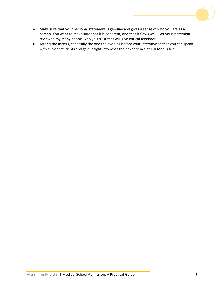

- Make sure that your personal statement is genuine and gives a sense of who you are as a person. You want to make sure that it is coherent, and that it flows well. Get your statement reviewed my many people who you trust that will give critical feedback.
- Attend the mixers, especially the one the evening before your interview so that you can speak with current students and gain insight into what their experience at Dal Med is like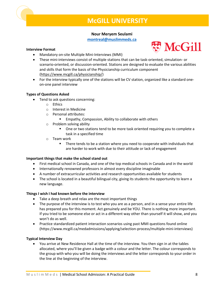

# **McGILL UNIVERSITY**

# **Nour Meryem Seulami**

**[montreal@muslimmeds.ca](mailto:montreal@muslimmeds.ca)**

# **Interview Format**



- Mandatory on-site Multiple Mini-Interviews (MMI)
- These mini-interviews consist of multiple stations that can be task-oriented, simulation- or scenario-oriented, or discussion-oriented. Stations are designed to evaluate the various abilities and skills that form the basis of the Physicianship curriculum component [\(https://www.mcgill.ca/physicianship/\)](https://www.mcgill.ca/physicianship/)
- For the interview typically one of the stations will be CV station, organized like a standard oneon-one panel interview

# **Types of Questions Asked**

- Tend to ask questions concerning:
	- o Ethics
	- o Interest in Medicine
	- o Personal attributes:
		- Empathy, Compassion, Ability to collaborate with others
	- o Problem solving ability
		- One or two stations tend to be more task oriented requiring you to complete a task in a specified time
	- o Team work
		- There tends to be a station where you need to cooperate with individuals that are harder to work with due to their attitude or lack of engagement

# **Important things that make the school stand out**

- First medical school in Canada, and one of the top medical schools in Canada and in the world
- Internationally renowned professors in almost every discipline imaginable
- A number of extracurricular activities and research opportunities available for students
- The school is located in a beautiful bilingual city, giving its students the opportunity to learn a new language.

# **Things I wish I had known before the interview**

- Take a deep breath and relax are the most important things
- The purpose of the interview is to test who you are as a person, and in a sense your entire life has prepared you for this moment. Act genuinely and be YOU. There is nothing more important. If you tried to be someone else or act in a different way other than yourself it will show, and you won't do as well.
- Practice standardized patient interaction scenarios using past MMI questions found online [\(https://www.mcgill.ca/medadmissions/applying/selection-process/multiple-mini-interviews\)](https://www.mcgill.ca/medadmissions/applying/selection-process/multiple-mini-interviews)

# **Typical Interview Day**

• You arrive at New Residence Hall at the time of the interview. You then sign in at the tables allocated, where you'll be given a badge with a colour and the letter. The colour corresponds to the group with who you will be doing the interviews and the letter corresponds to your order in the line at the beginning of the interview.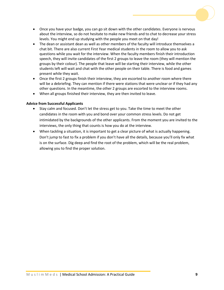- Once you have your badge, you can go sit down with the other candidates. Everyone is nervous about the interview, so do not hesitate to make new friends and to chat to decrease your stress levels. You might end up studying with the people you meet on that day!
- The dean or assistant dean as well as other members of the faculty will introduce themselves a chat bit. There are also current First Year medical students in the room to allow you to ask questions while you wait for the interview. When the faculty members finish their introduction speech, they will invite candidates of the first 2 groups to leave the room (they will mention the groups by their colour). The people that leave will be starting their interview, while the other students left will wait and chat with the other people on their table. There is food and games present while they wait.
- Once the first 2 groups finish their interview, they are escorted to another room where there will be a debriefing. They can mention if there were stations that were unclear or if they had any other questions. In the meantime, the other 2 groups are escorted to the interview rooms.
- When all groups finished their interview, they are then invited to leave.

#### **Advice from Successful Applicants**

- Stay calm and focused. Don't let the stress get to you. Take the time to meet the other candidates in the room with you and bond over your common stress levels. Do not get intimidated by the backgrounds of the other applicants. From the moment you are invited to the interviews, the only thing that counts is how you do at the interview.
- When tackling a situation, it is important to get a clear picture of what is actually happening. Don't jump to fast to fix a problem if you don't have all the details, because you'll only fix what is on the surface. Dig deep and find the root of the problem, which will be the real problem, allowing you to find the proper solution.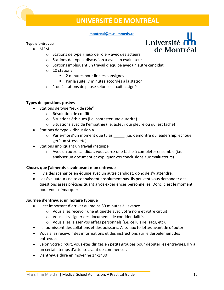

# **UNIVERSITÉ DE MONTRÉAL**

# **[montreal@muslimmeds.ca](mailto:montreal@muslimmeds.ca)**

# **Type d'entrevue**

- MEM
	- o Stations de type « jeux de rôle » avec des acteurs
	- o Stations de type « discussion » avec un évaluateur
	- o Stations impliquant un travail d'équipe avec un autre candidat
	- o 10 stations
		- 2 minutes pour lire les consignes
		- Par la suite, 7 minutes accordés à la station
	- o 1 ou 2 stations de pause selon le circuit assigné

# **Types de questions posées**

- Stations de type "jeux de rôle"
	- o Résolution de conflit
	- o Situations éthiques (i.e. contester une autorité)
	- o Situations avec de l'empathie (i.e. acteur qui pleure ou qui est fâché)
- Stations de type « discussion »
	- o Parle-moi d'un moment que tu as \_\_\_\_\_ (i.e. démontré du leadership, échoué, géré un stress, etc)
- Stations impliquant un travail d'équipe
	- o Avec un autre candidat, vous aurez une tâche à compléter ensemble (i.e. analyser un document et expliquer vos conclusions aux évaluateurs).

# **Choses que j'aimerais savoir avant mon entrevue**

- Il y a des scénarios en équipe avec un autre candidat, donc de s'y attendre.
- Les évaluateurs ne te connaissent absolument pas. Ils peuvent vous demander des questions assez précises quant à vos expériences personnelles. Donc, c'est le moment pour vous démarquer.

# **Journée d'entrevue: un horaire typique**

- Il est important d'arriver au moins 30 minutes à l'avance
	- o Vous allez recevoir une étiquette avec votre nom et votre circuit.
	- o Vous allez signer des documents de confidentialité.
	- o Vous allez laisser vos effets personnels (i.e. cellulaire, sacs, etc).
- Ils fournissent des collations et des boissons. Allez aux toilettes avant de débuter.
- Vous allez recevoir des informations et des instructions sur le déroulement des entrevues
- Selon votre circuit, vous êtes dirigez en petits groupes pour débuter les entrevues. Il y a un certain temps d'attente avant de commencer.
- L'entrevue dure en moyenne 1h-1h30

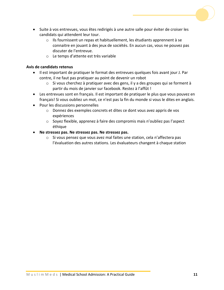- Suite à vos entrevues, vous êtes redirigés à une autre salle pour éviter de croiser les candidats qui attendent leur tour.
	- o Ils fournissent un repas et habituellement, les étudiants apprennent à se connaitre en jouant à des jeux de sociétés. En aucun cas, vous ne pouvez pas discuter de l'entrevue.
	- o Le temps d'attente est très variable

# **Avis de candidats retenus**

- Il est important de pratiquer le format des entrevues quelques fois avant jour J. Par contre, il ne faut pas pratiquer au point de devenir un robot
	- o Si vous cherchez à pratiquer avec des gens, il y a des groupes qui se forment à partir du mois de janvier sur facebook. Restez à l'affût !
- Les entrevues sont en français. Il est important de pratiquer le plus que vous pouvez en français! Si vous oubliez un mot, ce n'est pas la fin du monde si vous le dites en anglais.
- Pour les discussions personnelles
	- o Donnez des exemples concrets et dites ce dont vous avez appris de vos expériences
	- o Soyez flexible, apprenez à faire des compromis mais n'oubliez pas l'aspect éthique
- **Ne stressez pas. Ne stressez pas. Ne stressez pas.** 
	- o Si vous pensez que vous avez mal faites une station, cela n'affectera pas l'évaluation des autres stations. Les évaluateurs changent à chaque station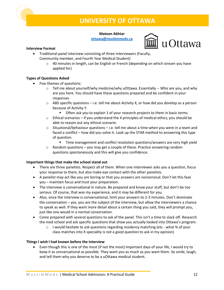

# **UNIVERSITY OF OTTAWA**

# **Mateen Akhtar**

**[ottawa@muslimmeds.ca](mailto:ottawa@muslimmeds.ca)**



# **Interview Format**

- Traditional panel interview consisting of three interviewers (Faculty, Community member, and Fourth Year Medical Student)
	- $\circ$  40 minutes in length, can be English or French (depending on which stream you have applied for)

# **Types of Questions Asked**

- Five themes of questions:
	- $\circ$  Tell me about yourself/why medicine/why uOttawa. Essentially -- Who are you, and why are you here. You should have these questions prepared and be confident in your responses
	- $\circ$  ABS specific questions i.e. tell me about Activity X, or how did you develop as a person because of Activity Y.
		- Often ask you to explain 1 of your research projects to them in basic terms
	- $\circ$  Ethical scenarios if you understand the 4 principles of medical ethics, you should be able to reason out any ethical scenario.
	- $\circ$  Situational/behaviour questions i.e. tell me about a time when you were in a team and faced a conflict – how did you solve it. Look up the STAR method to answering this type of question.
		- **■** Time management and conflict resolution questions/answers are very high yield
	- $\circ$  Random questions you may get a couple of these. Practice answering random questions spontaneously and this will give you confidence.

# **Important things that make the school stand out**

- There are three panelists. Respect all of them. When one interviewer asks you a question, focus your response to them, but also make eye contact with the other panelists.
- A panelist may act like you are boring or that you answers are nonsensical. Don't let this faze you – maintain focus and trust your preparation.
- The interview is conversational in nature. Be prepared and know your stuff, but don't be too serious. Of course, that was my experience, and it may be different for you.
- Also, since the interview is conversational, limit your answers to 2-3 minutes. Don't dominate the conversation – yes, you are the subject of the interview, but allow the interviewers a chance to speak as well. If they want more detail about a certain thing you said, they will prompt you, just like one would in a normal conversation.
- Come prepared with several questions to ask of the panel. This isn't a time to slack off. Research the med school and ask specific questions that show you actually looked into Ottawa's program.
	- $\circ$  I would hesitate to ask questions regarding residency matching (etc what % of your class matches into X speciality is not a good question to ask in my opinion)

# **Things I wish I had known before the interview**

• Even though this is one of the most (if not the most) important days of your life, I would try to keep it as conversational as possible. They want you as much as you want them. So smile, laugh, and tell them why you deserve to be a uOttawa medical student.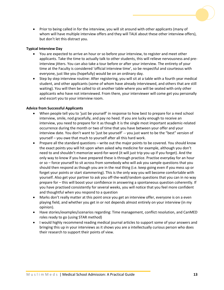• Prior to being called in for the interview, you will sit around with other applicants (many of whom will have multiple interview offers and they will TALK about these other interview offers), but don't let this distract you.

#### **Typical Interview Day**

- You are expected to arrive an hour or so before your interview, to register and meet other applicants. Take the time to actually talk to other students, this will relieve nervousness and preinterview jitters. You can also take a tour before or after your interview. The entirety of your time at the Faculty is considered 'official interview time', so be respectful and courteous with everyone, just like you (hopefully) would be on an ordinary day.
- Step by step interview routine: After registering, you will sit at a table with a fourth year medical student, and other applicants (some of whom have already interviewed, and others that are still waiting). You will then be called to sit another table where you will be seated with only other applicants who have not interviewed. From there, your interviewer will come get you personally and escort you to your interview room.

#### **Advice from Successful Applicants**

- When people tell you to 'just be yourself' in response to how best to prepare for a med school interview, smile, nod gracefully, and pay no heed. If you are lucky enough to receive an interview, you need to prepare for it as though it is the single most important academic-related occurrence during the month or two of time that you have between your offer and your interview date. You don't want to 'just be yourself' -- you just want to be the "best" version of yourself – you owe that much to yourself after all this hard work.
- Prepare all the standard questions write out the major points to be covered. You should know the exact points you will hit upon when asked why medicine for example, although you don't need to and shouldn't memorize word-for-word (it will just trip you up if you forget). And the only way to know if you have prepared these is through practice. Practise everyday for an hour or so – force yourself to sit across from somebody who will ask you sample questions that you should then respond as though you are in the real thing (i.e. keep going even if you mess up or forget your points or start stammering). This is the only way you will become comfortable with yourself. Also get your partner to ask you off-the-wall/random questions that you can in no way prepare for – this will boost your confidence in answering a spontaneous question coherently. If you have practised consistently for several weeks, you will notice that you feel more confident and thoughtful when you respond to a question
- Marks don't really matter at this point once you get an interview offer, everyone is on a even playing field, and whether you get in or not depends almost entirely on your interview (in my opinion).
- Have stories/examples/scenarios regarding: Time management, conflict resolution, and CanMED roles ready to go (using STAR method)
- I would highly recommend reading medical journal articles to support some of your answers and bringing this up in your interviews as it shows you are a intellectually curious person who does their research to support their points of view.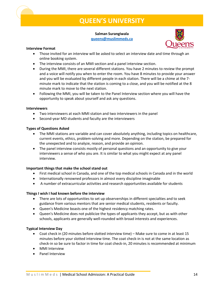

# **Salman Surangiwala**

**[queens@muslimmeds.ca](mailto:queens@muslimmeds.ca)**





# **Interview Format**

- Those invited for an interview will be asked to select an interview date and time through an online booking system.
- The interview consists of an MMI section and a panel interview section.
- During the MMI, there are several different stations. You have 2 minutes to review the prompt and a voice will notify you when to enter the room. You have 8 minutes to provide your answer and you will be evaluated by different people in each station. There will be a chime at the 7 minute mark to indicate that the station is coming to a close, and you will be notified at the 8 minute mark to move to the next station.
- Following the MMI, you will be taken to the Panel Interview section where you will have the opportunity to speak about yourself and ask any questions.

# **Interviewers**

- Two interviewers at each MMI station and two interviewers in the panel
- Second-year MD students and faculty are the interviewers

# **Types of Questions Asked**

- The MMI stations are variable and can cover absolutely anything, including topics on healthcare, current events, ethics, problem-solving and more. Depending on the station, be prepared for the unexpected and to analyze, reason, and provide an opinion.
- The panel interview consists mostly of personal questions and an opportunity to give your interviewers a sense of who you are. It is similar to what you might expect at any panel interview.

# **Important things that make the school stand out**

- First medical school in Canada, and one of the top medical schools in Canada and in the world
- Internationally renowned professors in almost every discipline imaginable
- A number of extracurricular activities and research opportunities available for students

# **Things I wish I had known before the interview**

- There are lots of opportunities to set up observerships in different specialties and to seek guidance from various mentors that are senior medical students, residents or faculty.
- Queen's Medicine boasts one of the highest residency matching rates.
- Queen's Medicine does not publicize the types of applicants they accept, but as with other schools, applicants are generally well-rounded with broad interests and experiences.

# **Typical Interview Day**

- Coat check in (20 minutes before slotted interview time) Make sure to come in at least 15 minutes before your slotted interview time. The coat check-in is not at the same location as check-in so be sure to factor in time for coat check-in, 20 minutes is recommended at minimum
- MMI Interview
- Panel Interview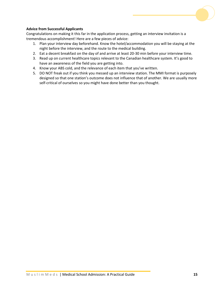

# **Advice from Successful Applicants**

Congratulations on making it this far in the application process, getting an interview invitation is a tremendous accomplishment! Here are a few pieces of advice:

- 1. Plan your interview day beforehand. Know the hotel/accommodation you will be staying at the night before the interview, and the route to the medical building.
- 2. Eat a decent breakfast on the day of and arrive at least 20-30 min before your interview time.
- 3. Read up on current healthcare topics relevant to the Canadian healthcare system. It's good to have an awareness of the field you are getting into.
- 4. Know your ABS cold, and the relevance of each item that you've written.
- 5. DO NOT freak out if you think you messed up an interview station. The MMI format is purposely designed so that one station's outcome does not influence that of another. We are usually more self-critical of ourselves so you might have done better than you thought.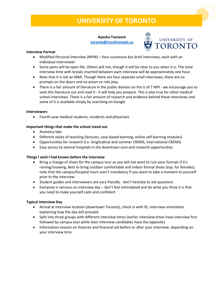# **UNIVERSITY OF TORONTO**

**Ayesha Tasneem [toronto@muslimmeds.ca](mailto:toronto@muslimmeds.ca)**



# **Interview Format**

- Modified Personal Interview (MPW) four successive but brief interviews, each with an individual interviewer
- Some parts will be open file. Others will not, though it will be clear to you when it is. The total interview time with breaks inserted between each interview will be approximately one hour.
- Note that it is not an MMI. Though there are four separate small interviews, there are no prompts on the doors and no actors or role play.
- There is a fair amount of literature in the public domain on the U of T MPI we encourage you to seek this literature out and read it - it will help you prepare. This is also true for other medical school interviews. There is a fair amount of research and evidence behind these interviews and some of it is available simply by searching on Google

# **Interviewers**

• Fourth-year medical students, residents and physicians

# **Important things that make the school stand out**

- Anatomy labs
- Different styles of teaching (lectures, case-based learning, online self learning modules)
- Opportunities for research (i.e. longitudinal and summer CREMS, international CREMS)
- Easy access to several hospitals in the downtown core and research opportunities

# **Things I wish I had known before the interview**

- Bring a change of shoes for the campus tour as you will not want to ruin your formals if it's raining/snowing. Best to bring outdoor comfortable and indoor formal shoes (esp. for females), note that the campus/hospital tours aren't mandatory if you want to take a moment to yourself prior to the interview
- Student guides and interviewers are very friendly don't hesitate to ask questions
- Everyone is nervous on interview day don't feel intimidated and do what you think it is that you need to make yourself calm and confident

# **Typical Interview Day**

- Arrival at interview location (downtown Toronto), check in with ID, interview orientation explaining how the day will proceed
- Split into three groups with different interview times (earlier interview times have interview first followed by campus tour while later interview candidates have the opposite)
- Information session on finances and financial aid before or after your interview, depending on your interview time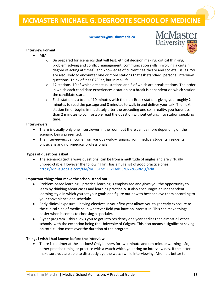# **MCMASTER MICHAEL G. DEGROOTE SCHOOL OF MEDICINE**

**[mcmaster@muslimmeds.ca](mailto:mcmaster@muslimmeds.ca)**



# **Interview Format**

- MMI
	- $\circ$  Be prepared for scenarios that will test: ethical decision making, critical thinking, problem solving and conflict management, communication skills (involving a certain degree of acting at times), and knowledge of current healthcare and societal issues. You are also likely to encounter one or more stations that ask standard, personal interview questions. Think of it as CASPer, but in real life
	- $\circ$  12 stations. 10 of which are actual stations and 2 of which are break stations. The order in which each candidate experiences a station or a break is dependent on which station the candidate starts
	- $\circ$  Each station is a total of 10 minutes with the non-Break stations giving you roughly 2 minutes to read the passage and 8 minutes to walk in and deliver your talk. The next station timer begins immediately after the preceding one so in reality, you have less than 2 minutes to comfortable read the question without cutting into station speaking time.

# **Interviewers**

- There is usually only one interviewer in the room but there can be more depending on the scenario being presented.
- The interviewers can come from various walk ranging from medical students, residents, physicians and non-medical professionals

# **Types of questions asked**

• The scenarios (not always questions) can be from a multitude of angles and are virtually unpredictable. However the following link has a huge list of good practice ones: <https://drive.google.com/file/d/0B6Xt-tlSCG13ek1JZUZkcG5RMjg/edit>

# **Important things that make the school stand out**

- Problem-based learning practical learning is emphasized and gives you the opportunity to learn by thinking about cases and learning practically. It also encourages an independent learning style in which you set your goals and figure out how to best achieve them according to your convenience and schedule.
- Early clinical exposure having electives in your first year allows you to get early exposure to the clinical side of medicine in whatever field you have an interest in. This can make things easier when it comes to choosing a specialty.
- 3-year program this allows you to get into residency one year earlier than almost all other schools, with the exception being the University of Calgary. This also means a significant saving on total tuition costs over the duration of the program

# **Things I wish I had known before the interview**

• There is no timer at the stations! Only buzzers for two minute and ten-minute warnings. So, either practice timing or practice with a watch which you bring on interview day. If the latter, make sure you are able to discreetly eye the watch while interviewing. Also, it is better to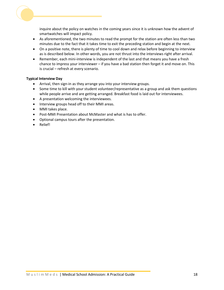inquire about the policy on watches in the coming years since it is unknown how the advent of smartwatches will impact policy.

- As aforementioned, the two minutes to read the prompt for the station are often less than two minutes due to the fact that it takes time to exit the preceding station and begin at the next.
- On a positive note, there is plenty of time to cool down and relax before beginning to interview as is described below. In other words, you are not thrust into the interviews right after arrival.
- Remember, each mini-interview is independent of the last and that means you have a fresh chance to impress your interviewer – if you have a bad station then forget it and move on. This is crucial – refresh at every scenario.

# **Typical Interview Day**

- Arrival, then sign-in as they arrange you into your interview groups.
- Some time to kill with your student volunteer/representative as a group and ask them questions while people arrive and are getting arranged. Breakfast food is laid out for interviewees.
- A presentation welcoming the interviewees.
- Interview groups head off to their MMI areas.
- MMI takes place.
- Post-MMI Presentation about McMaster and what is has to offer.
- Optional campus tours after the presentation.
- Relief!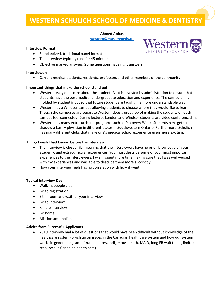# **WESTERN SCHULICH SCHOOL OF MEDICINE & DENTISTRY**

#### **Ahmed Abbas**

**[western@muslimmeds.ca](mailto:western@muslimmeds.ca)**

#### **Interview Format**

- Standardized, traditional panel format
- The interview typically runs for 45 minutes
- Objective marked answers (some questions have right answers)

#### **Interviewers**

• Current medical students, residents, professors and other members of the community

#### **Important things that make the school stand out**

- Western really does care about the student. A lot is invested by administration to ensure that students have the best medical undergraduate education and experience. The curriculum is molded by student input so that future student are taught in a more understandable way.
- Western has a Windsor campus allowing students to choose where they would like to learn. Though the campuses are separate Western does a great job of making the students on each campus feel connected. During lectures London and Windsor students are video conferenced in.
- Western has many extracurricular programs such as Discovery Week. Students here get to shadow a family physician in different places in Southwestern Ontario. Furthermore, Schulich has many different clubs that make one's medical school experience even more exciting.

#### **Things I wish I had known before the interview**

- The interview is closed file, meaning that the interviewers have no prior knowledge of your academic and extracurricular experiences. You must describe some of your most important experiences to the interviewers. I wish I spent more time making sure that I was well-versed with my experiences and was able to describe them more succinctly.
- How your interview feels has no correlation with how it went

# **Typical Interview Day**

- Walk in, people clap
- Go to registration
- Sit in room and wait for your interview
- Go to interview
- Kill the interview
- Go home
- Mission accomplished

#### **Advice from Successful Applicants**

• 2019 interview had a lot of questions that would have been difficult without knowledge of the healthcare system (brush up on issues in the Canadian healthcare system and how our system works in general i.e., lack of rural doctors, indigenous health, MAID, long ER wait times, limited resources in Canadian health care)

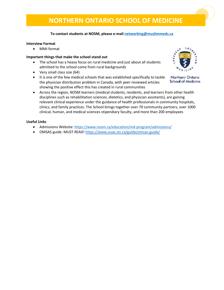# **NORTHERN ONTARIO SCHOOL OF MEDICINE**

# **To contact students at NOSM, please e-mail [networking@muslimmeds.ca](mailto:networking@muslimmeds.ca)**

#### **Interview Format**

• MMI format

# **Important things that make the school stand out**

- The school has a heavy focus on rural medicine and just about all students admitted to the school come from rural backgrounds
- Very small class size (64)
- It is one of the few medical schools that was established specifically to tackle the physician distribution problem in Canada, with peer-reviewed articles showing the positive effect this has created in rural communities



**Northern Ontario School of Medicine** 

• Across the region, NOSM learners (medical students, residents, and learners from other health disciplines such as rehabilitation sciences, dietetics, and physician assistants), are gaining relevant clinical experience under the guidance of health professionals in community hospitals, clinics, and family practices. The School brings together over 70 community partners, over 1000 clinical, human, and medical sciences stipendiary faculty, and more than 200 employees

# **Useful Links**

- Admissions Website:<https://www.nosm.ca/education/md-program/admissions/>
- OMSAS guide. MUST READ! <https://www.ouac.on.ca/guide/omsas-guide/>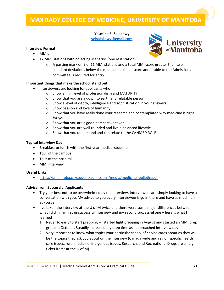# **MAX RADY COLLEGE OF MEDICINE, UNIVERSITY OF MANITOBA**

#### **Yasmine El-Salakawy [yelsalakawy@gmail.com](mailto:yelsalakawy@gmail.com)**

#### **Interview Format**

- MMIs
- 12 MMI stations with no acting scenarios (one rest station)
	- $\circ$  A passing mark on 9 of 11 MMI stations and a total MMI score greater than two standard deviations below the mean and a mean score acceptable to the Admissions committee is required for entry

#### **Important things that make the school stand out**

- Interviewers are looking for applicants who:
	- o Show a high level of professionalism and MATURITY
	- o Show that you are a down to earth and relatable person
	- $\circ$  Show a level of depth, intelligence and sophistication in your answers
	- o Show passion and love of humanity
	- $\circ$  Show that you have really done your research and contemplated why medicine is right for you
	- o Show that you are a good perspective taker
	- o Show that you are well rounded and live a balanced lifestyle
	- o Show that you understand and can relate to the CANMED ROLE

#### **Typical Interview Day**

- Breakfast or lunch with the first-year medical students
- Tour of the campus
- Tour of the hospital
- MMI interview

#### **Useful Links**

• https://umanitoba.ca/student/admissions/media/medicine bulletin.pdf

#### **Advice from Successful Applicants**

- Try your best not to be overwhelmed by the interview. Interviewers are simply looking to have a conversation with you. My advice to you every interviewee is go in there and have as much fun as you can.
- I've taken the interview at the U of M twice and there were some major differences between what I did in my first unsuccessful interview and my second successful one – here is what I learned
	- 1. Never to early to start prepping I started light prepping in August and started an MMI prep group in October. Steadily increased my prep time as I approached interview day
	- 2. Very important to know what topics your particular school of choice cares about as they will be the topics they ask you about on the interview (Canada wide and region specific health care issues, rural medicine, Indigenous issues, Research, and Recreational Drugs are all big ticket items at the U of M)

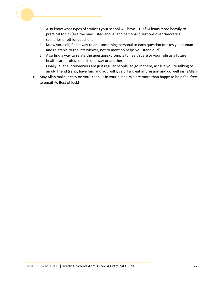

- 3. Also know what types of stations your school will have U of M leans more heavily to practical topics (like the ones listed above) and personal questions over theoretical scenarios or ethics questions
- 4. Know yourself, find a way to add something personal to each question (makes you human and relatable to the interviewer, not to mention helps you stand out!)
- 5. Also find a way to relate the questions/prompts to health care or your role as a future health care professional in one way or another
- 6. Finally, all the interviewers are just regular people, so go in there, act like you're talking to an old friend (relax, have fun) and you will give off a great impression and do well inshaAllah
- May Allah make it easy on you! Keep us in your duaas. We are more than happy to help feel free to email iA. Best of luck!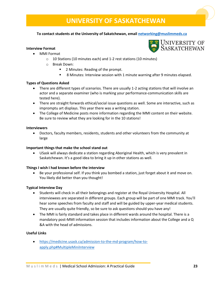# **UNIVERSITY OF SASKATCHEWAN**

#### **To contact students at the University of Sakatchewan, email [networking@muslimmeds.ca](mailto:networking@muslimmeds.ca)**

#### **Interview Format**

- MMI Format
	- o 10 Stations (10 minutes each) and 1-2 rest stations (10 minutes)
	- o Break Down:
		- 2 Minutes: Reading of the prompt.
		- 8 Minutes: Interview session with 1 minute warning after 9 minutes elapsed.

# **Types of Questions Asked**

- There are different types of scenarios. There are usually 1-2 acting stations that will involve an actor and a separate examiner (who is marking your performance-communication skills are tested here).
- There are straight forwards ethical/social issue questions as well. Some are interactive, such as impromptu art displays. This year there was a writing station.
- The College of Medicine posts more information regarding the MMI content on their website. Be sure to review what they are looking for in the 10 stations!

#### **Interviewers**

• Doctors, faculty members, residents, students and other volunteers from the community at large

#### **Important things that make the school stand out**

• USask will always dedicate a station regarding Aboriginal Health, which is very prevalent in Saskatchewan. It's a good idea to bring it up in other stations as well.

#### **Things I wish I had known before the interview**

• Be your professional self. If you think you bombed a station, just forget about it and move on. You likely did better than you thought!

#### **Typical Interview Day**

- Students will check in all their belongings and register at the Royal University Hospital. All interviewees are separated in different groups. Each group will be part of one MMI track. You'll hear some speeches from faculty and staff and will be guided by upper-year medical students. They are usually quite friendly, so be sure to ask questions should you have any!
- The MMI is fairly standard and takes place in different wards around the hospital. There is a mandatory post-MMI information session that includes information about the College and a Q &A with the head of admissions.

#### **Useful Links**

• [https://medicine.usask.ca/admission-to-the-md-program/how-to](https://medicine.usask.ca/admission-to-the-md-program/how-to-apply.php#MultipleMiniInterview)[apply.php#MultipleMiniInterview](https://medicine.usask.ca/admission-to-the-md-program/how-to-apply.php#MultipleMiniInterview)



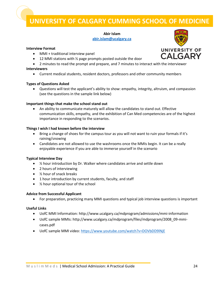# **UNIVERSITY OF CALGARY CUMMING SCHOOL OF MEDICINE**

#### **Abir Islam**

**[abir.islam@ucalgary.ca](mailto:abir.islam@ucalgary.ca)**

#### **Interview Format**

- MMI + traditional interview panel
- 12 MMI stations with 1/2 page prompts posted outside the door
- 2 minutes to read the prompt and prepare, and 7 minutes to interact with the interviewer

#### **Interviewers**

• Current medical students, resident doctors, professors and other community members

#### **Types of Questions Asked**

• Questions will test the applicant's ability to show: empathy, integrity, altruism, and compassion (see the questions in the sample link below)

#### **Important things that make the school stand out**

• An ability to communicate maturely will allow the candidates to stand out. Effective communication skills, empathy, and the exhibition of Can Med competencies are of the highest importance in responding to the scenarios.

#### **Things I wish I had known before the interview**

- Bring a change of shoes for the campus tour as you will not want to ruin your formals if it's raining/snowing
- Candidates are not allowed to use the washrooms once the MMIs begin. It can be a really enjoyable experience if you are able to immerse yourself in the scenario

# **Typical Interview Day**

- $\bullet$  % hour introduction by Dr. Walker where candidates arrive and settle down
- 2 hours of interviewing
- 1/<sub>2</sub> hour of snack breaks
- 1 hour introduction by current students, faculty, and staff
- 1/<sub>2</sub> hour optional tour of the school

#### **Advice from Successful Applicant**

• For preparation, practicing many MMI questions and typical job interview questions is important

#### **Useful Links**

- UofC MMI Information: http://www.ucalgary.ca/mdprogram/admissions/mmi-information
- UofC sample MMIs: http://www.ucalgary.ca/mdprogram/files/mdprogram/2008\_09-mmicases.pdf
- UofC sample MMI video:<https://www.youtube.com/watch?v=DOVbDD9lNjE>

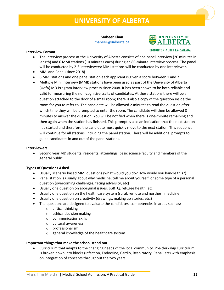# **UNIVERSITY OF ALBERTA**

**Maheer Khan**  [maheer@ualberta.ca](mailto:maheer@ualberta.ca)



EDMONTON·ALBERTA·CANADA

#### **Interview Format**

- The interview process at the University of Alberta consists of one panel interview (20 minutes in length) and 6 MMI stations (10 minutes each) during an 80-minute interview process. The panel will be conducted by 2-3 interviewers; MMI stations will be conducted by one interviewer.
- MMI and Panel (since 2018)
- 6 MMI stations and one panel station each applicant is given a score between 1 and 7
- Multiple Mini Interview (MMI) stations have been used as part of the University of Alberta (UofA) MD Program interview process since 2008. It has been shown to be both reliable and valid for measuring the non-cognitive traits of candidates. At these stations there will be a question attached to the door of a small room; there is also a copy of the question inside the room for you to refer to. The candidate will be allowed 2 minutes to read the question after which time they will be prompted to enter the room. The candidate will then be allowed 8 minutes to answer the question. You will be notified when there is one-minute remaining and then again when the station has finished. This prompt is also an indication that the next station has started and therefore the candidate must quickly move to the next station. This sequence will continue for all stations, including the panel station. There will be additional prompts to guide candidates in and out of the panel stations.

# **Interviewers**

• Second year MD students, residents, attendings, basic science faculty and members of the general public

# **Types of Questions Asked**

- Usually scenario based MMI questions (what would you do? How would you handle this?).
- Panel station is usually about why medicine, tell me about yourself, or some type of a personal question (overcoming challenges, facing adversity, etc)
- Usually one question on aboriginal issues, LGBTQ, refugee health, etc
- Usually one question on the health care system (rural, remote and northern medicine)
- Usually one question on creativity (drawings, making up stories, etc.)
- The questions are designed to evaluate the candidates' competencies in areas such as:
	- o critical thinking
	- o ethical decision making
	- o communication skills
	- o cultural awareness
	- o professionalism
	- o general knowledge of the healthcare system

# **Important things that make the school stand out**

• Curriculum that adapts to the changing needs of the local community. Pre-clerkship curriculum is broken down into blocks (Infection, Endocrine, Cardio, Respiratory, Renal, etc) with emphasis on integration of concepts throughout the two years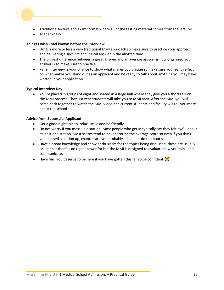

- Traditional lecture and exam format where all of the testing material comes from the lectures
- Academically

# **Things I wish I had known before the interview**

- UofA is more or less a very traditional MMI approach so make sure to practice your approach and delivering a succinct and logical answer in the allotted time
- The biggest difference between a great answer and an average answer is how organized your answer is so make sure to practice
- Panel interview is your chance to show what makes you unique so make sure you really reflect on what makes you stand out as an applicant and be ready to talk about anything you may have written in your application

# **Typical Interview Day**

• You're placed in groups of eight and seated in a large hall where they give you a short talk on the MMI process. Then 1st year students will take you to MMI area. After the MMI you will come back together to watch the MMI video and current students and faculty will tell you more about the school

# **Advice from Successful Applicant**

- Get a good nights sleep, relax, smile and be friendly.
- Do not worry if you mess up a station. Most people who get in typically say they felt awful about at least one station. Most scores tend to hover around the average score so even if you think you messed a station up, chances are you probably still didn't do too poorly.
- Have a broad knowledge and show enthusiasm for the topics being discussed, these are usually issues that there is no right answer for but the MMI is designed to evaluate how you think and communicate.
- Have fun! You deserve to be here if you have gotten this far so be confident  $\odot$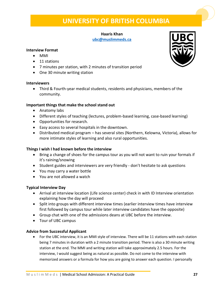# **UNIVERSITY OF BRITISH COLUMBIA**

# **Haaris Khan [ubc@muslimmeds.ca](mailto:ubc@muslimmeds.ca)**

# **Interview Format**

- MMI
- 11 stations
- 7 minutes per station, with 2 minutes of transition period
- One 30 minute writing station

# **Interviewers**

• Third & Fourth-year medical students, residents and physicians, members of the community.

# **Important things that make the school stand out**

- Anatomy labs
- Different styles of teaching (lectures, problem-based learning, case-based learning)
- Opportunities for research.
- Easy access to several hospitals in the downtown.
- Distributed medical program has several sites (Northern, Kelowna, Victoria), allows for more intimate styles of learning and also rural opportunities.

# **Things I wish I had known before the interview**

- Bring a change of shoes for the campus tour as you will not want to ruin your formals if it's raining/snowing
- Student guides and interviewers are very friendly don't hesitate to ask questions
- You may carry a water bottle
- You are not allowed a watch

# **Typical Interview Day**

- Arrival at interview location (Life science center) check in with ID Interview orientation explaining how the day will proceed
- Split into groups with different interview times (earlier interview times have interview first followed by campus tour while later interview candidates have the opposite)
- Group chat with one of the admissions deans at UBC before the interview.
- Tour of UBC campus

# **Advice from Successful Applicant**

• For the UBC interview, it is an MMI style of interview. There will be 11 stations with each station being 7 minutes in duration with a 2 minute transition period. There is also a 30 minute writing station at the end. The MMI and writing station will take approximately 2.5 hours. For the interview, I would suggest being as natural as possible. Do not come to the interview with memorized answers or a formula for how you are going to answer each question. I personally